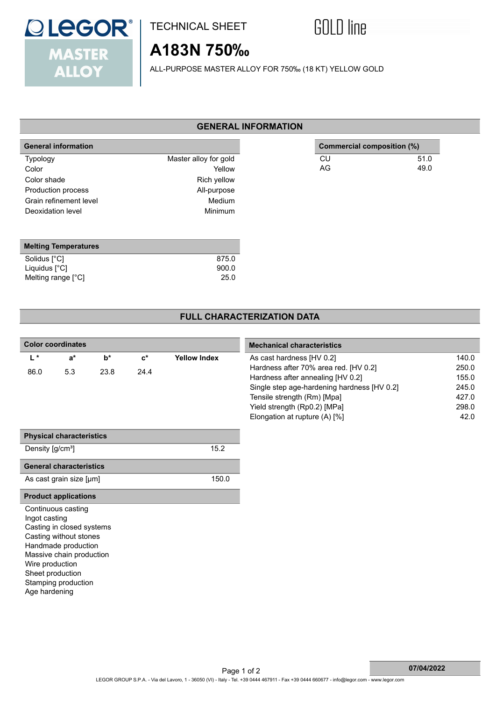

## TECHNICAL SHEET



# **A183N 750‰**

ALL-PURPOSE MASTER ALLOY FOR 750‰ (18 KT) YELLOW GOLD

#### **GENERAL INFORMATION**

| <b>General information</b> |                       |
|----------------------------|-----------------------|
| Typology                   | Master alloy for gold |
| Color                      | Yellow                |
| Color shade                | Rich yellow           |
| Production process         | All-purpose           |
| Grain refinement level     | Medium                |
| Deoxidation level          | Minimum               |
|                            |                       |

| <b>Melting Temperatures</b> |       |
|-----------------------------|-------|
| Solidus [°C]                | 875.0 |
| Liquidus $[^{\circ}C]$      | 900.0 |
| Melting range [°C]          | 25.0  |

### **Commercial composition (%)** CU 51.0 AG 49.0

## **FULL CHARACTERIZATION DATA**

| <b>Color coordinates</b>            |                                 |       |                |                     | <b>Mechanical characteristics</b>           |       |  |
|-------------------------------------|---------------------------------|-------|----------------|---------------------|---------------------------------------------|-------|--|
| $L^*$                               | $a^*$                           | $b^*$ | $\mathbf{c}^*$ | <b>Yellow Index</b> | As cast hardness [HV 0.2]                   | 140.0 |  |
| 86.0                                | 5.3                             | 23.8  | 24.4           |                     | Hardness after 70% area red. [HV 0.2]       | 250.0 |  |
|                                     |                                 |       |                |                     | Hardness after annealing [HV 0.2]           | 155.0 |  |
|                                     |                                 |       |                |                     | Single step age-hardening hardness [HV 0.2] | 245.0 |  |
|                                     |                                 |       |                |                     | Tensile strength (Rm) [Mpa]                 | 427.0 |  |
|                                     |                                 |       |                |                     | Yield strength (Rp0.2) [MPa]                | 298.0 |  |
|                                     |                                 |       |                |                     | Elongation at rupture (A) [%]               | 42.0  |  |
|                                     |                                 |       |                |                     |                                             |       |  |
|                                     | <b>Physical characteristics</b> |       |                |                     |                                             |       |  |
| Density [g/cm <sup>3</sup> ]        |                                 |       |                | 15.2                |                                             |       |  |
|                                     | <b>General characteristics</b>  |       |                |                     |                                             |       |  |
|                                     | As cast grain size [µm]         |       |                | 150.0               |                                             |       |  |
|                                     | <b>Product applications</b>     |       |                |                     |                                             |       |  |
|                                     | Continuous casting              |       |                |                     |                                             |       |  |
| Ingot casting                       |                                 |       |                |                     |                                             |       |  |
|                                     | Casting in closed systems       |       |                |                     |                                             |       |  |
|                                     | Casting without stones          |       |                |                     |                                             |       |  |
|                                     | Handmade production             |       |                |                     |                                             |       |  |
|                                     | Massive chain production        |       |                |                     |                                             |       |  |
| Wire production<br>Sheet production |                                 |       |                |                     |                                             |       |  |
|                                     | Stamping production             |       |                |                     |                                             |       |  |
| Age hardening                       |                                 |       |                |                     |                                             |       |  |
|                                     |                                 |       |                |                     |                                             |       |  |
|                                     |                                 |       |                |                     |                                             |       |  |
|                                     |                                 |       |                |                     |                                             |       |  |